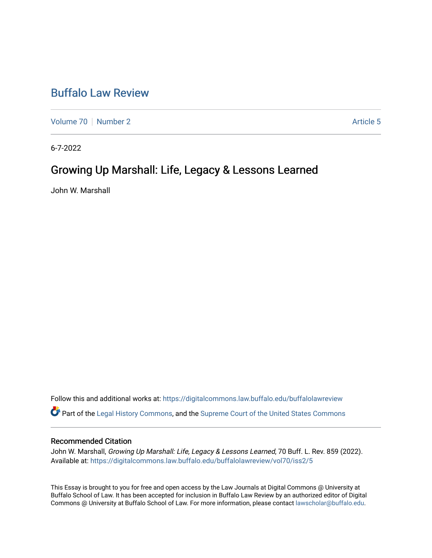## [Buffalo Law Review](https://digitalcommons.law.buffalo.edu/buffalolawreview)

[Volume 70](https://digitalcommons.law.buffalo.edu/buffalolawreview/vol70) [Number 2](https://digitalcommons.law.buffalo.edu/buffalolawreview/vol70/iss2) Article 5

6-7-2022

# Growing Up Marshall: Life, Legacy & Lessons Learned

John W. Marshall

Follow this and additional works at: [https://digitalcommons.law.buffalo.edu/buffalolawreview](https://digitalcommons.law.buffalo.edu/buffalolawreview?utm_source=digitalcommons.law.buffalo.edu%2Fbuffalolawreview%2Fvol70%2Fiss2%2F5&utm_medium=PDF&utm_campaign=PDFCoverPages)  Part of the [Legal History Commons](https://network.bepress.com/hgg/discipline/904?utm_source=digitalcommons.law.buffalo.edu%2Fbuffalolawreview%2Fvol70%2Fiss2%2F5&utm_medium=PDF&utm_campaign=PDFCoverPages), and the [Supreme Court of the United States Commons](https://network.bepress.com/hgg/discipline/1350?utm_source=digitalcommons.law.buffalo.edu%2Fbuffalolawreview%2Fvol70%2Fiss2%2F5&utm_medium=PDF&utm_campaign=PDFCoverPages) 

#### Recommended Citation

John W. Marshall, Growing Up Marshall: Life, Legacy & Lessons Learned, 70 Buff. L. Rev. 859 (2022). Available at: [https://digitalcommons.law.buffalo.edu/buffalolawreview/vol70/iss2/5](https://digitalcommons.law.buffalo.edu/buffalolawreview/vol70/iss2/5?utm_source=digitalcommons.law.buffalo.edu%2Fbuffalolawreview%2Fvol70%2Fiss2%2F5&utm_medium=PDF&utm_campaign=PDFCoverPages) 

This Essay is brought to you for free and open access by the Law Journals at Digital Commons @ University at Buffalo School of Law. It has been accepted for inclusion in Buffalo Law Review by an authorized editor of Digital Commons @ University at Buffalo School of Law. For more information, please contact [lawscholar@buffalo.edu](mailto:lawscholar@buffalo.edu).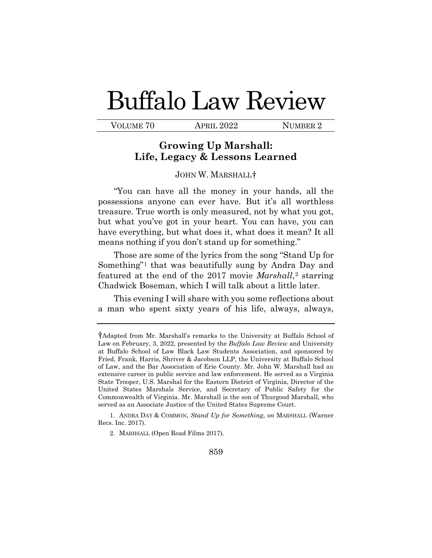# Buffalo Law Review

VOLUME 70 APRIL 2022 NUMBER 2

## **Growing Up Marshall: Life, Legacy & Lessons Learned**

### JOHN W. MARSHALL[†](#page-1-0)

 but what you've got in your heart. You can have, you can have everything, but what does it, what does it mean? It all "You can have all the money in your hands, all the possessions anyone can ever have. But it's all worthless treasure. True worth is only measured, not by what you got, means nothing if you don't stand up for something."

Those are some of the lyrics from the song "Stand Up for Something"[1](#page-1-1) that was beautifully sung by Andra Day and featured at the end of the 2017 movie *Marshall*,[2](#page-1-2) starring Chadwick Boseman, which I will talk about a little later.

This evening I will share with you some reflections about a man who spent sixty years of his life, always, always,

<span id="page-1-2"></span><span id="page-1-1"></span>1. ANDRA DAY & COMMON, *Stand Up for Something*, *on* MARSHALL (Warner Recs. Inc. 2017).

<span id="page-1-0"></span> †Adapted from Mr. Marshall's remarks to the University at Buffalo School of  Law on February, 3, 2022, presented by the *Buffalo Law Review* and University of Law, and the Bar Association of Erie County. Mr. John W. Marshall had an extensive career in public service and law enforcement. He served as a Virginia United States Marshals Service, and Secretary of Public Safety for the at Buffalo School of Law Black Law Students Association, and sponsored by Fried, Frank, Harris, Shriver & Jacobson LLP, the University at Buffalo School State Trooper, U.S. Marshal for the Eastern District of Virginia, Director of the Commonwealth of Virginia. Mr. Marshall is the son of Thurgood Marshall, who served as an Associate Justice of the United States Supreme Court.

<sup>2.</sup> MARHSALL (Open Road Films 2017).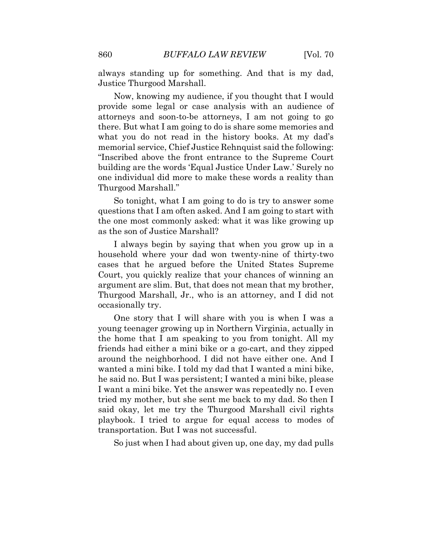always standing up for something. And that is my dad, Justice Thurgood Marshall.

 Now, knowing my audience, if you thought that I would there. But what I am going to do is share some memories and provide some legal or case analysis with an audience of attorneys and soon-to-be attorneys, I am not going to go what you do not read in the history books. At my dad's memorial service, Chief Justice Rehnquist said the following: "Inscribed above the front entrance to the Supreme Court building are the words 'Equal Justice Under Law.' Surely no one individual did more to make these words a reality than Thurgood Marshall."

 as the son of Justice Marshall? So tonight, what I am going to do is try to answer some questions that I am often asked. And I am going to start with the one most commonly asked: what it was like growing up

 argument are slim. But, that does not mean that my brother, occasionally try. I always begin by saying that when you grow up in a household where your dad won twenty-nine of thirty-two cases that he argued before the United States Supreme Court, you quickly realize that your chances of winning an Thurgood Marshall, Jr., who is an attorney, and I did not

 friends had either a mini bike or a go-cart, and they zipped wanted a mini bike. I told my dad that I wanted a mini bike, I want a mini bike. Yet the answer was repeatedly no. I even playbook. I tried to argue for equal access to modes of One story that I will share with you is when I was a young teenager growing up in Northern Virginia, actually in the home that I am speaking to you from tonight. All my around the neighborhood. I did not have either one. And I he said no. But I was persistent; I wanted a mini bike, please tried my mother, but she sent me back to my dad. So then I said okay, let me try the Thurgood Marshall civil rights transportation. But I was not successful.

So just when I had about given up, one day, my dad pulls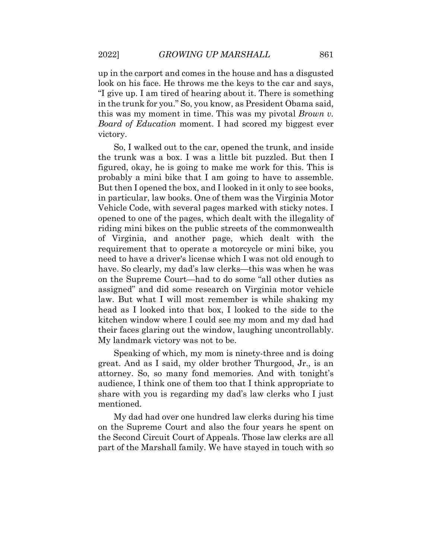*Board of Education* moment. I had scored my biggest ever up in the carport and comes in the house and has a disgusted look on his face. He throws me the keys to the car and says, "I give up. I am tired of hearing about it. There is something in the trunk for you." So, you know, as President Obama said, this was my moment in time. This was my pivotal *Brown v.*  victory.

 figured, okay, he is going to make me work for this. This is opened to one of the pages, which dealt with the illegality of requirement that to operate a motorcycle or mini bike, you So, I walked out to the car, opened the trunk, and inside the trunk was a box. I was a little bit puzzled. But then I probably a mini bike that I am going to have to assemble. But then I opened the box, and I looked in it only to see books, in particular, law books. One of them was the Virginia Motor Vehicle Code, with several pages marked with sticky notes. I riding mini bikes on the public streets of the commonwealth of Virginia, and another page, which dealt with the need to have a driver's license which I was not old enough to have. So clearly, my dad's law clerks—this was when he was on the Supreme Court—had to do some "all other duties as assigned" and did some research on Virginia motor vehicle law. But what I will most remember is while shaking my head as I looked into that box, I looked to the side to the kitchen window where I could see my mom and my dad had their faces glaring out the window, laughing uncontrollably. My landmark victory was not to be.

 attorney. So, so many fond memories. And with tonight's Speaking of which, my mom is ninety-three and is doing great. And as I said, my older brother Thurgood, Jr., is an audience, I think one of them too that I think appropriate to share with you is regarding my dad's law clerks who I just mentioned. My dad had over one hundred law clerks during his time

 on the Supreme Court and also the four years he spent on part of the Marshall family. We have stayed in touch with so the Second Circuit Court of Appeals. Those law clerks are all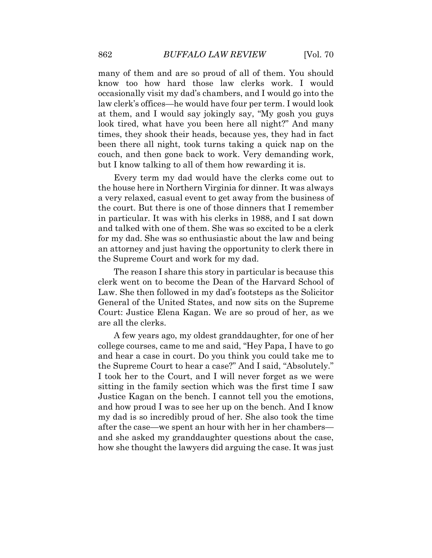many of them and are so proud of all of them. You should couch, and then gone back to work. Very demanding work, know too how hard those law clerks work. I would occasionally visit my dad's chambers, and I would go into the law clerk's offices—he would have four per term. I would look at them, and I would say jokingly say, "My gosh you guys look tired, what have you been here all night?" And many times, they shook their heads, because yes, they had in fact been there all night, took turns taking a quick nap on the but I know talking to all of them how rewarding it is. Every term my dad would have the clerks come out to

 in particular. It was with his clerks in 1988, and I sat down an attorney and just having the opportunity to clerk there in the Supreme Court and work for my dad. the house here in Northern Virginia for dinner. It was always a very relaxed, casual event to get away from the business of the court. But there is one of those dinners that I remember and talked with one of them. She was so excited to be a clerk for my dad. She was so enthusiastic about the law and being

The reason I share this story in particular is because this clerk went on to become the Dean of the Harvard School of Law. She then followed in my dad's footsteps as the Solicitor General of the United States, and now sits on the Supreme Court: Justice Elena Kagan. We are so proud of her, as we are all the clerks.

 A few years ago, my oldest granddaughter, for one of her I took her to the Court, and I will never forget as we were sitting in the family section which was the first time I saw and how proud I was to see her up on the bench. And I know my dad is so incredibly proud of her. She also took the time how she thought the lawyers did arguing the case. It was just college courses, came to me and said, "Hey Papa, I have to go and hear a case in court. Do you think you could take me to the Supreme Court to hear a case?" And I said, "Absolutely." Justice Kagan on the bench. I cannot tell you the emotions, after the case—we spent an hour with her in her chambers and she asked my granddaughter questions about the case,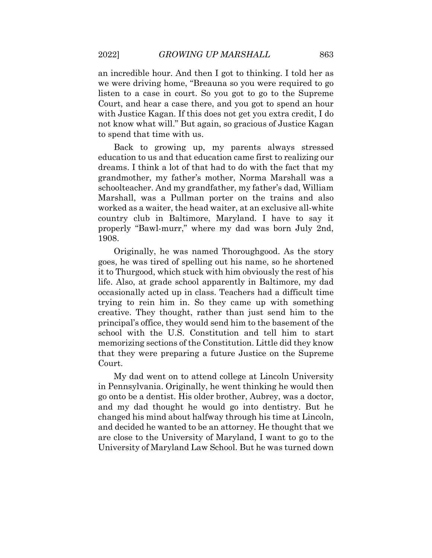Court, and hear a case there, and you got to spend an hour an incredible hour. And then I got to thinking. I told her as we were driving home, "Breauna so you were required to go listen to a case in court. So you got to go to the Supreme with Justice Kagan. If this does not get you extra credit, I do not know what will." But again, so gracious of Justice Kagan to spend that time with us.

 schoolteacher. And my grandfather, my father's dad, William worked as a waiter, the head waiter, at an exclusive all-white country club in Baltimore, Maryland. I have to say it 1908. Back to growing up, my parents always stressed education to us and that education came first to realizing our dreams. I think a lot of that had to do with the fact that my grandmother, my father's mother, Norma Marshall was a Marshall, was a Pullman porter on the trains and also properly "Bawl-murr," where my dad was born July 2nd,

 it to Thurgood, which stuck with him obviously the rest of his life. Also, at grade school apparently in Baltimore, my dad memorizing sections of the Constitution. Little did they know that they were preparing a future Justice on the Supreme Originally, he was named Thoroughgood. As the story goes, he was tired of spelling out his name, so he shortened occasionally acted up in class. Teachers had a difficult time trying to rein him in. So they came up with something creative. They thought, rather than just send him to the principal's office, they would send him to the basement of the school with the U.S. Constitution and tell him to start Court.

 go onto be a dentist. His older brother, Aubrey, was a doctor, My dad went on to attend college at Lincoln University in Pennsylvania. Originally, he went thinking he would then and my dad thought he would go into dentistry. But he changed his mind about halfway through his time at Lincoln, and decided he wanted to be an attorney. He thought that we are close to the University of Maryland, I want to go to the University of Maryland Law School. But he was turned down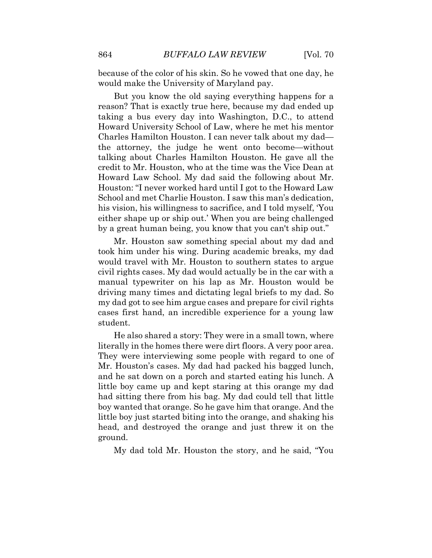because of the color of his skin. So he vowed that one day, he would make the University of Maryland pay.

 Howard University School of Law, where he met his mentor credit to Mr. Houston, who at the time was the Vice Dean at Houston: "I never worked hard until I got to the Howard Law But you know the old saying everything happens for a reason? That is exactly true here, because my dad ended up taking a bus every day into Washington, D.C., to attend Charles Hamilton Houston. I can never talk about my dad the attorney, the judge he went onto become—without talking about Charles Hamilton Houston. He gave all the Howard Law School. My dad said the following about Mr. School and met Charlie Houston. I saw this man's dedication, his vision, his willingness to sacrifice, and I told myself, 'You either shape up or ship out.' When you are being challenged by a great human being, you know that you can't ship out."

 took him under his wing. During academic breaks, my dad would travel with Mr. Houston to southern states to argue civil rights cases. My dad would actually be in the car with a driving many times and dictating legal briefs to my dad. So my dad got to see him argue cases and prepare for civil rights Mr. Houston saw something special about my dad and manual typewriter on his lap as Mr. Houston would be cases first hand, an incredible experience for a young law student.

 literally in the homes there were dirt floors. A very poor area. and he sat down on a porch and started eating his lunch. A He also shared a story: They were in a small town, where They were interviewing some people with regard to one of Mr. Houston's cases. My dad had packed his bagged lunch, little boy came up and kept staring at this orange my dad had sitting there from his bag. My dad could tell that little boy wanted that orange. So he gave him that orange. And the little boy just started biting into the orange, and shaking his head, and destroyed the orange and just threw it on the ground.

My dad told Mr. Houston the story, and he said, "You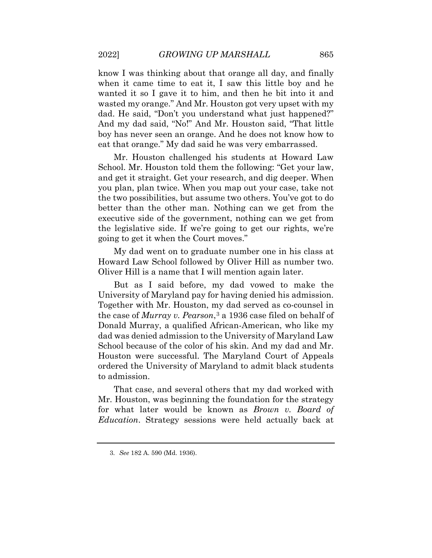when it came time to eat it, I saw this little boy and he know I was thinking about that orange all day, and finally wanted it so I gave it to him, and then he bit into it and wasted my orange." And Mr. Houston got very upset with my dad. He said, "Don't you understand what just happened?" And my dad said, "No!" And Mr. Houston said, "That little boy has never seen an orange. And he does not know how to eat that orange." My dad said he was very embarrassed.

Mr. Houston challenged his students at Howard Law School. Mr. Houston told them the following: "Get your law, and get it straight. Get your research, and dig deeper. When you plan, plan twice. When you map out your case, take not the two possibilities, but assume two others. You've got to do better than the other man. Nothing can we get from the executive side of the government, nothing can we get from the legislative side. If we're going to get our rights, we're going to get it when the Court moves."

My dad went on to graduate number one in his class at Howard Law School followed by Oliver Hill as number two. Oliver Hill is a name that I will mention again later.

 University of Maryland pay for having denied his admission. Together with Mr. Houston, my dad served as co-counsel in ordered the University of Maryland to admit black students But as I said before, my dad vowed to make the the case of *Murray v. Pearson*,[3](#page-7-0) a 1936 case filed on behalf of Donald Murray, a qualified African-American, who like my dad was denied admission to the University of Maryland Law School because of the color of his skin. And my dad and Mr. Houston were successful. The Maryland Court of Appeals to admission.

 That case, and several others that my dad worked with *Education*. Strategy sessions were held actually back at Mr. Houston, was beginning the foundation for the strategy for what later would be known as *Brown v. Board of* 

<span id="page-7-0"></span><sup>3.</sup> *See* 182 A. 590 (Md. 1936).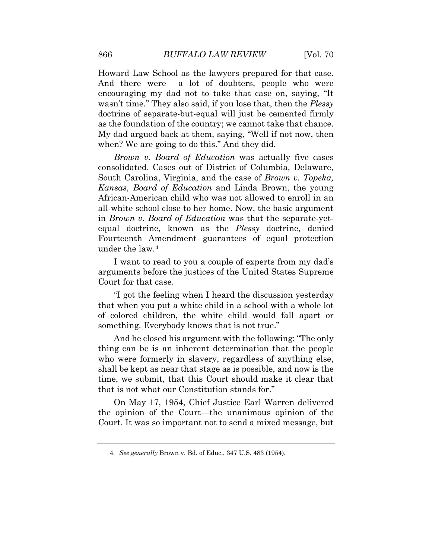wasn't time." They also said, if you lose that, then the *Plessy*  My dad argued back at them, saying, "Well if not now, then Howard Law School as the lawyers prepared for that case. And there were a lot of doubters, people who were encouraging my dad not to take that case on, saying, "It doctrine of separate-but-equal will just be cemented firmly as the foundation of the country; we cannot take that chance. when? We are going to do this." And they did.

 consolidated. Cases out of District of Columbia, Delaware, South Carolina, Virginia, and the case of *Brown v. Topeka, Brown v. Board of Education* was actually five cases *Kansas, Board of Education* and Linda Brown, the young African-American child who was not allowed to enroll in an all-white school close to her home. Now, the basic argument in *Brown v. Board of Education* was that the separate-yetequal doctrine, known as the *Plessy* doctrine, denied Fourteenth Amendment guarantees of equal protection under the law.[4](#page-8-0) 

I want to read to you a couple of experts from my dad's arguments before the justices of the United States Supreme Court for that case.

"I got the feeling when I heard the discussion yesterday that when you put a white child in a school with a whole lot of colored children, the white child would fall apart or something. Everybody knows that is not true."

 shall be kept as near that stage as is possible, and now is the time, we submit, that this Court should make it clear that that is not what our Constitution stands for." And he closed his argument with the following: "The only thing can be is an inherent determination that the people who were formerly in slavery, regardless of anything else,

<span id="page-8-0"></span>On May 17, 1954, Chief Justice Earl Warren delivered the opinion of the Court—the unanimous opinion of the Court. It was so important not to send a mixed message, but

<sup>4.</sup> *See generally* Brown v. Bd. of Educ., 347 U.S. 483 (1954).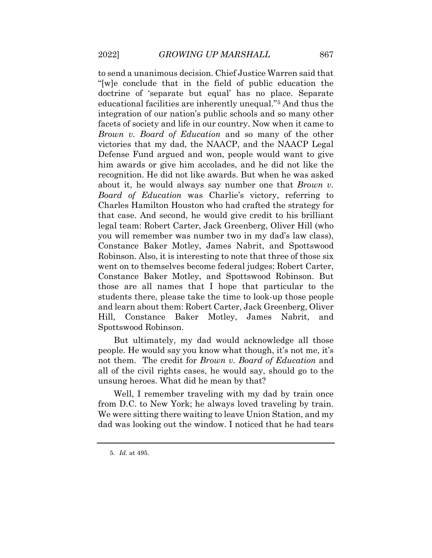*Brown v. Board of Education* and so many of the other Defense Fund argued and won, people would want to give recognition. He did not like awards. But when he was asked about it, he would always say number one that *Brown v.*  Robinson. Also, it is interesting to note that three of those six to send a unanimous decision. Chief Justice Warren said that "[w]e conclude that in the field of public education the doctrine of 'separate but equal' has no place. Separate educational facilities are inherently unequal."[5](#page-9-0) And thus the integration of our nation's public schools and so many other facets of society and life in our country. Now when it came to victories that my dad, the NAACP, and the NAACP Legal him awards or give him accolades, and he did not like the *Board of Education* was Charlie's victory, referring to Charles Hamilton Houston who had crafted the strategy for that case. And second, he would give credit to his brilliant legal team: Robert Carter, Jack Greenberg, Oliver Hill (who you will remember was number two in my dad's law class), Constance Baker Motley, James Nabrit, and Spottswood went on to themselves become federal judges: Robert Carter, Constance Baker Motley, and Spottswood Robinson. But those are all names that I hope that particular to the students there, please take the time to look-up those people and learn about them: Robert Carter, Jack Greenberg, Oliver Hill, Constance Baker Motley, James Nabrit, and Spottswood Robinson.

 all of the civil rights cases, he would say, should go to the But ultimately, my dad would acknowledge all those people. He would say you know what though, it's not me, it's not them. The credit for *Brown v. Board of Education* and unsung heroes. What did he mean by that?

Well, I remember traveling with my dad by train once from D.C. to New York; he always loved traveling by train. We were sitting there waiting to leave Union Station, and my dad was looking out the window. I noticed that he had tears

<span id="page-9-0"></span><sup>5.</sup> *Id.* at 495.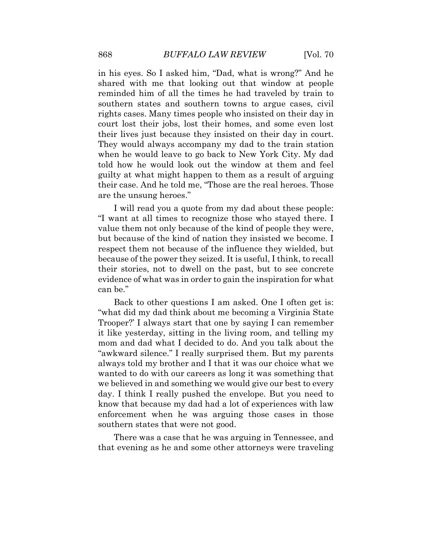shared with me that looking out that window at people reminded him of all the times he had traveled by train to told how he would look out the window at them and feel in his eyes. So I asked him, "Dad, what is wrong?" And he southern states and southern towns to argue cases, civil rights cases. Many times people who insisted on their day in court lost their jobs, lost their homes, and some even lost their lives just because they insisted on their day in court. They would always accompany my dad to the train station when he would leave to go back to New York City. My dad guilty at what might happen to them as a result of arguing their case. And he told me, "Those are the real heroes. Those are the unsung heroes."

 "I want at all times to recognize those who stayed there. I evidence of what was in order to gain the inspiration for what I will read you a quote from my dad about these people: value them not only because of the kind of people they were, but because of the kind of nation they insisted we become. I respect them not because of the influence they wielded, but because of the power they seized. It is useful, I think, to recall their stories, not to dwell on the past, but to see concrete can be."

 mom and dad what I decided to do. And you talk about the always told my brother and I that it was our choice what we day. I think I really pushed the envelope. But you need to Back to other questions I am asked. One I often get is: "what did my dad think about me becoming a Virginia State Trooper?' I always start that one by saying I can remember it like yesterday, sitting in the living room, and telling my "awkward silence." I really surprised them. But my parents wanted to do with our careers as long it was something that we believed in and something we would give our best to every know that because my dad had a lot of experiences with law enforcement when he was arguing those cases in those southern states that were not good.

There was a case that he was arguing in Tennessee, and that evening as he and some other attorneys were traveling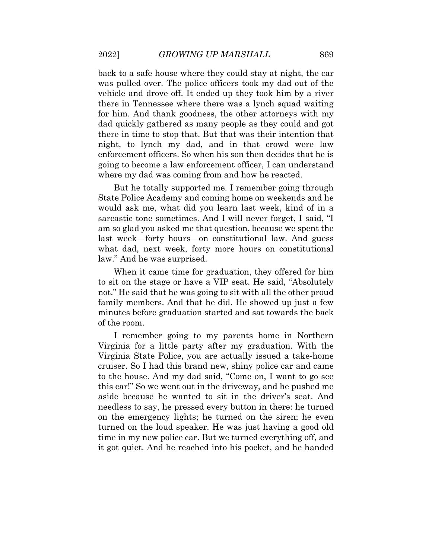was pulled over. The police officers took my dad out of the vehicle and drove off. It ended up they took him by a river for him. And thank goodness, the other attorneys with my dad quickly gathered as many people as they could and got back to a safe house where they could stay at night, the car there in Tennessee where there was a lynch squad waiting there in time to stop that. But that was their intention that night, to lynch my dad, and in that crowd were law enforcement officers. So when his son then decides that he is going to become a law enforcement officer, I can understand where my dad was coming from and how he reacted.

 State Police Academy and coming home on weekends and he sarcastic tone sometimes. And I will never forget, I said, "I am so glad you asked me that question, because we spent the But he totally supported me. I remember going through would ask me, what did you learn last week, kind of in a last week—forty hours—on constitutional law. And guess what dad, next week, forty more hours on constitutional law." And he was surprised.

 When it came time for graduation, they offered for him not." He said that he was going to sit with all the other proud to sit on the stage or have a VIP seat. He said, "Absolutely family members. And that he did. He showed up just a few minutes before graduation started and sat towards the back of the room.

 on the emergency lights; he turned on the siren; he even time in my new police car. But we turned everything off, and I remember going to my parents home in Northern Virginia for a little party after my graduation. With the Virginia State Police, you are actually issued a take-home cruiser. So I had this brand new, shiny police car and came to the house. And my dad said, "Come on, I want to go see this car!" So we went out in the driveway, and he pushed me aside because he wanted to sit in the driver's seat. And needless to say, he pressed every button in there: he turned turned on the loud speaker. He was just having a good old it got quiet. And he reached into his pocket, and he handed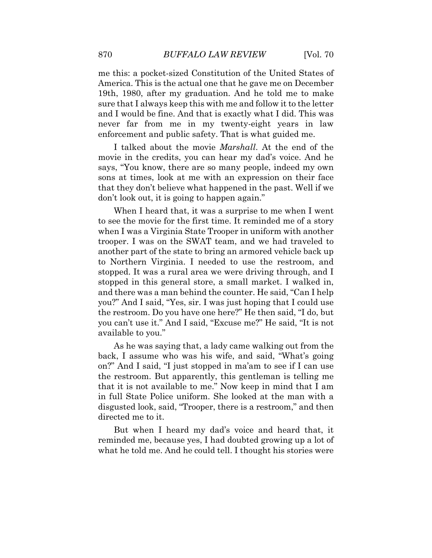never far from me in my twenty-eight years in law me this: a pocket-sized Constitution of the United States of America. This is the actual one that he gave me on December 19th, 1980, after my graduation. And he told me to make sure that I always keep this with me and follow it to the letter and I would be fine. And that is exactly what I did. This was enforcement and public safety. That is what guided me.

 says, "You know, there are so many people, indeed my own sons at times, look at me with an expression on their face I talked about the movie *Marshall*. At the end of the movie in the credits, you can hear my dad's voice. And he that they don't believe what happened in the past. Well if we don't look out, it is going to happen again."

 when I was a Virginia State Trooper in uniform with another trooper. I was on the SWAT team, and we had traveled to another part of the state to bring an armored vehicle back up and there was a man behind the counter. He said, "Can I help you?" And I said, "Yes, sir. I was just hoping that I could use the restroom. Do you have one here?" He then said, "I do, but you can't use it." And I said, "Excuse me?" He said, "It is not available to you." As he was saying that, a lady came walking out from the When I heard that, it was a surprise to me when I went to see the movie for the first time. It reminded me of a story to Northern Virginia. I needed to use the restroom, and stopped. It was a rural area we were driving through, and I stopped in this general store, a small market. I walked in,

 that it is not available to me." Now keep in mind that I am in full State Police uniform. She looked at the man with a disgusted look, said, "Trooper, there is a restroom," and then back, I assume who was his wife, and said, "What's going on?" And I said, "I just stopped in ma'am to see if I can use the restroom. But apparently, this gentleman is telling me directed me to it.

 But when I heard my dad's voice and heard that, it what he told me. And he could tell. I thought his stories were reminded me, because yes, I had doubted growing up a lot of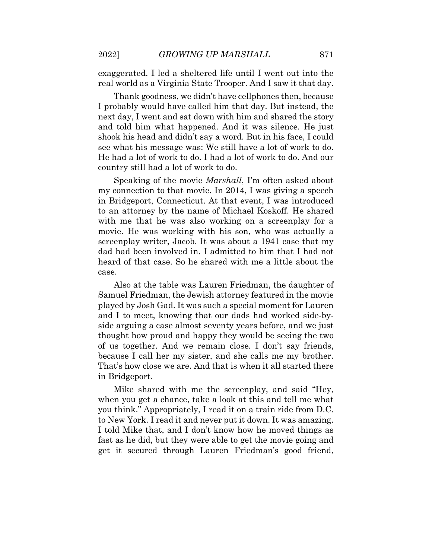exaggerated. I led a sheltered life until I went out into the real world as a Virginia State Trooper. And I saw it that day.

 Thank goodness, we didn't have cellphones then, because He had a lot of work to do. I had a lot of work to do. And our I probably would have called him that day. But instead, the next day, I went and sat down with him and shared the story and told him what happened. And it was silence. He just shook his head and didn't say a word. But in his face, I could see what his message was: We still have a lot of work to do. country still had a lot of work to do.

Speaking of the movie *Marshall*, I'm often asked about my connection to that movie. In 2014, I was giving a speech in Bridgeport, Connecticut. At that event, I was introduced to an attorney by the name of Michael Koskoff. He shared with me that he was also working on a screenplay for a movie. He was working with his son, who was actually a screenplay writer, Jacob. It was about a 1941 case that my dad had been involved in. I admitted to him that I had not heard of that case. So he shared with me a little about the case.

 played by Josh Gad. It was such a special moment for Lauren because I call her my sister, and she calls me my brother. Also at the table was Lauren Friedman, the daughter of Samuel Friedman, the Jewish attorney featured in the movie and I to meet, knowing that our dads had worked side-byside arguing a case almost seventy years before, and we just thought how proud and happy they would be seeing the two of us together. And we remain close. I don't say friends, That's how close we are. And that is when it all started there in Bridgeport.

Mike shared with me the screenplay, and said "Hey, when you get a chance, take a look at this and tell me what you think." Appropriately, I read it on a train ride from D.C. to New York. I read it and never put it down. It was amazing. I told Mike that, and I don't know how he moved things as fast as he did, but they were able to get the movie going and get it secured through Lauren Friedman's good friend,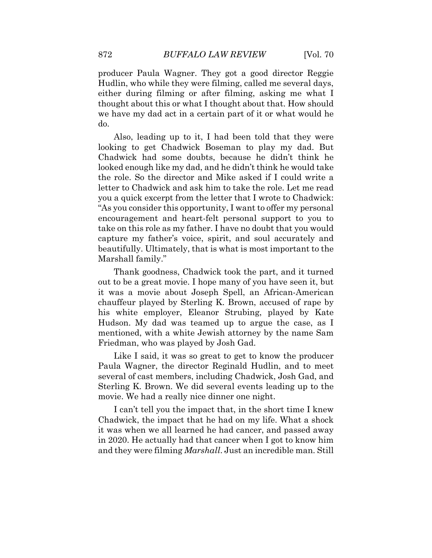we have my dad act in a certain part of it or what would he producer Paula Wagner. They got a good director Reggie Hudlin, who while they were filming, called me several days, either during filming or after filming, asking me what I thought about this or what I thought about that. How should do.

 beautifully. Ultimately, that is what is most important to the Also, leading up to it, I had been told that they were looking to get Chadwick Boseman to play my dad. But Chadwick had some doubts, because he didn't think he looked enough like my dad, and he didn't think he would take the role. So the director and Mike asked if I could write a letter to Chadwick and ask him to take the role. Let me read you a quick excerpt from the letter that I wrote to Chadwick: "As you consider this opportunity, I want to offer my personal encouragement and heart-felt personal support to you to take on this role as my father. I have no doubt that you would capture my father's voice, spirit, and soul accurately and Marshall family."

Thank goodness, Chadwick took the part, and it turned out to be a great movie. I hope many of you have seen it, but it was a movie about Joseph Spell, an African-American chauffeur played by Sterling K. Brown, accused of rape by his white employer, Eleanor Strubing, played by Kate Hudson. My dad was teamed up to argue the case, as I mentioned, with a white Jewish attorney by the name Sam Friedman, who was played by Josh Gad.

 Paula Wagner, the director Reginald Hudlin, and to meet Sterling K. Brown. We did several events leading up to the Like I said, it was so great to get to know the producer several of cast members, including Chadwick, Josh Gad, and movie. We had a really nice dinner one night.

 I can't tell you the impact that, in the short time I knew and they were filming *Marshall*. Just an incredible man. Still Chadwick, the impact that he had on my life. What a shock it was when we all learned he had cancer, and passed away in 2020. He actually had that cancer when I got to know him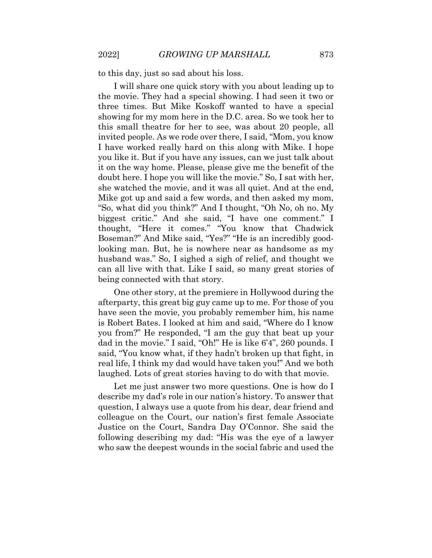to this day, just so sad about his loss.

 showing for my mom here in the D.C. area. So we took her to invited people. As we rode over there, I said, "Mom, you know doubt here. I hope you will like the movie." So, I sat with her, she watched the movie, and it was all quiet. And at the end, Mike got up and said a few words, and then asked my mom, I will share one quick story with you about leading up to the movie. They had a special showing. I had seen it two or three times. But Mike Koskoff wanted to have a special this small theatre for her to see, was about 20 people, all I have worked really hard on this along with Mike. I hope you like it. But if you have any issues, can we just talk about it on the way home. Please, please give me the benefit of the "So, what did you think?" And I thought, "Oh No, oh no. My biggest critic." And she said, "I have one comment." I thought, "Here it comes." "You know that Chadwick Boseman?" And Mike said, "Yes?" "He is an incredibly goodlooking man. But, he is nowhere near as handsome as my husband was." So, I sighed a sigh of relief, and thought we can all live with that. Like I said, so many great stories of being connected with that story.

 is Robert Bates. I looked at him and said, "Where do I know dad in the movie." I said, "Oh!" He is like 6'4", 260 pounds. I laughed. Lots of great stories having to do with that movie. One other story, at the premiere in Hollywood during the afterparty, this great big guy came up to me. For those of you have seen the movie, you probably remember him, his name you from?" He responded, "I am the guy that beat up your said, "You know what, if they hadn't broken up that fight, in real life, I think my dad would have taken you!" And we both

 question, I always use a quote from his dear, dear friend and following describing my dad: "His was the eye of a lawyer who saw the deepest wounds in the social fabric and used the Let me just answer two more questions. One is how do I describe my dad's role in our nation's history. To answer that colleague on the Court, our nation's first female Associate Justice on the Court, Sandra Day O'Connor. She said the